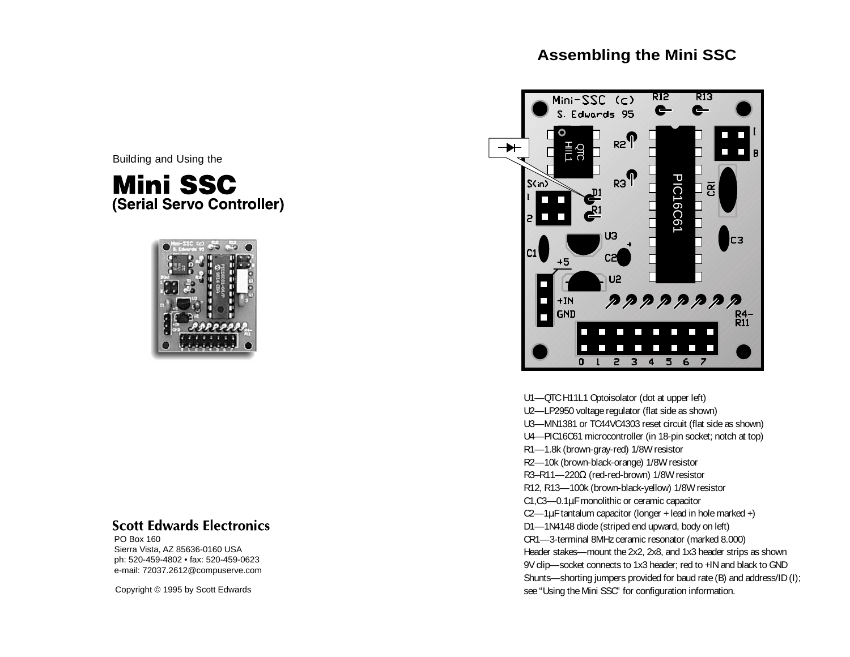# **Assembling the Mini SSC**

Building and Using the

**Mini SSC** (Serial Servo Controller)



# **Scott Edwards Electronics**

PO Box 160 Sierra Vista, AZ 85636-0160 USA ph: 520-459-4802 • fax: 520-459-0623 e-mail: 72037.2612@compuserve.com

Copyright © 1995 by Scott Edwards



U1—QTC H11L1 Optoisolator (dot at upper left) U2—LP2950 voltage regulator (flat side as shown) U3—MN1381 or TC44VC4303 reset circuit (flat side as shown) U4—PIC16C61 microcontroller (in 18-pin socket; notch at top) R1—1.8k (brown-gray-red) 1/8W resistor R2—10k (brown-black-orange) 1/8W resistor R3–R11—220Ω (red-red-brown) 1/8W resistor R12, R13—100k (brown-black-yellow) 1/8W resistor C1,C3—0.1µF monolithic or ceramic capacitor  $C2$ —1 $\mu$ F tantalum capacitor (longer + lead in hole marked +) D1—1N4148 diode (striped end upward, body on left) CR1—3-terminal 8MHz ceramic resonator (marked 8.000) Header stakes—mount the 2x2, 2x8, and 1x3 header strips as shown 9V clip—socket connects to 1x3 header; red to +IN and black to GND Shunts—shorting jumpers provided for baud rate (B) and address/ID (I); see "Using the Mini SSC" for configuration information.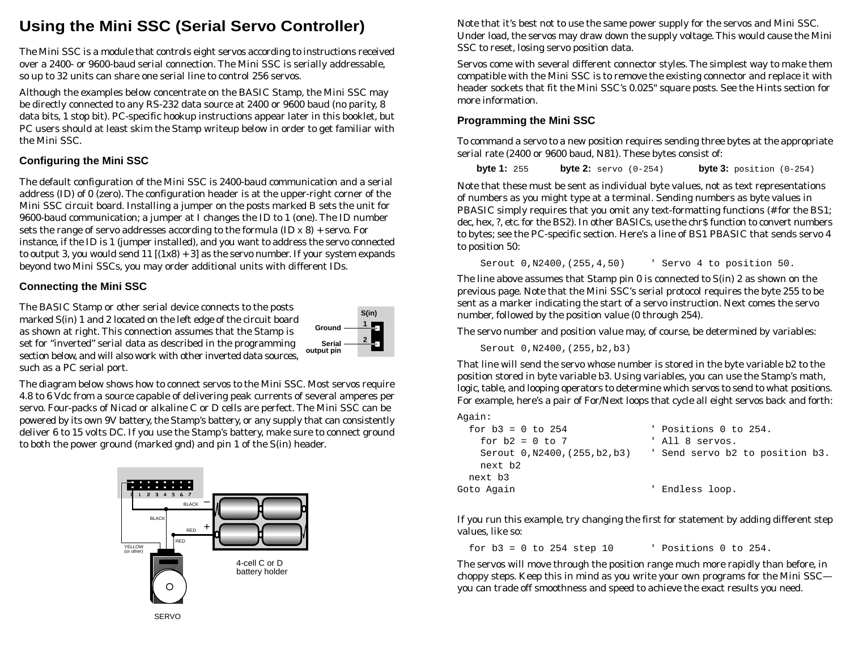# **Using the Mini SSC (Serial Servo Controller)**

The Mini SSC is a module that controls eight servos according to instructions received over a 2400- or 9600-baud serial connection. The Mini SSC is serially addressable, so up to 32 units can share one serial line to control 256 servos.

Although the examples below concentrate on the BASIC Stamp, the Mini SSC may be directly connected to any RS-232 data source at 2400 or 9600 baud (no parity, 8 data bits, 1 stop bit). PC-specific hookup instructions appear later in this booklet, but PC users should at least skim the Stamp writeup below in order to get familiar with the Mini SSC.

## **Configuring the Mini SSC**

The default configuration of the Mini SSC is 2400-baud communication and a serial address (ID) of 0 (zero). The configuration header is at the upper-right corner of the Mini SSC circuit board. Installing a jumper on the posts marked B sets the unit for 9600-baud communication; a jumper at I changes the ID to 1 (one). The ID number sets the range of servo addresses according to the formula (ID x 8) + servo. For instance, if the ID is 1 (jumper installed), and you want to address the servo connected to output 3, you would send  $11$   $[(1x8) + 3]$  as the servo number. If your system expands beyond two Mini SSCs, you may order additional units with different IDs.

## **Connecting the Mini SSC**

The BASIC Stamp or other serial device connects to the posts marked S(in) 1 and 2 located on the left edge of the circuit board as shown at right. This connection assumes that the Stamp is set for "inverted" serial data as described in the programming section below, and will also work with other inverted data sources, such as a PC serial port.



The diagram below shows how to connect servos to the Mini SSC. Most servos require 4.8 to 6 Vdc from a source capable of delivering peak currents of several amperes per servo. Four-packs of Nicad or alkaline C or D cells are perfect. The Mini SSC can be powered by its own 9V battery, the Stamp's battery, or any supply that can consistently deliver 6 to 15 volts DC. If you use the Stamp's battery, make sure to connect ground to both the power ground (marked gnd) and pin 1 of the S(in) header.



Note that it's best not to use the same power supply for the servos and Mini SSC. Under load, the servos may draw down the supply voltage. This would cause the Mini SSC to reset, losing servo position data.

Servos come with several different connector styles. The simplest way to make them compatible with the Mini SSC is to remove the existing connector and replace it with header sockets that fit the Mini SSC's 0.025" square posts. See the Hints section for more information.

### **Programming the Mini SSC**

To command a servo to a new position requires sending three bytes at the appropriate serial rate (2400 or 9600 baud, N81). These bytes consist of:

**byte 1:** <sup>255</sup> **byte 2:** servo (0-254) **byte 3:** position (0-254)

Note that these must be sent as individual byte values, not as text representations of numbers as you might type at a terminal. Sending numbers as byte values in PBASIC simply requires that you omit any text-formatting functions (# for the BS1; dec, hex, ?, etc. for the BS2). In other BASICs, use the chr\$ function to convert numbers to bytes; see the PC-specific section. Here's a line of BS1 PBASIC that sends servo 4 to position 50:

Serout 0,N2400,(255,4,50) ' Servo 4 to position 50.

The line above assumes that Stamp pin 0 is connected to S(in) 2 as shown on the previous page. Note that the Mini SSC's serial protocol requires the byte 255 to be sent as a marker indicating the start of a servo instruction. Next comes the servo number, followed by the position value (0 through 254).

The servo number and position value may, of course, be determined by variables:

Serout 0,N2400,(255,b2,b3)

That line will send the servo whose number is stored in the byte variable b2 to the position stored in byte variable b3. Using variables, you can use the Stamp's math, logic, table, and looping operators to determine which servos to send to what positions. For example, here's a pair of For/Next loops that cycle all eight servos back and forth:

#### Again:

| for $b3 = 0$ to 254            | ' Positions 0 to 254.           |
|--------------------------------|---------------------------------|
| for $b2 = 0$ to 7              | ' All 8 servos.                 |
| Serout 0, N2400, (255, b2, b3) | ' Send servo b2 to position b3. |
| next b2                        |                                 |
| next b3                        |                                 |
| Goto Aqain                     | ' Endless loop.                 |

If you run this example, try changing the first for statement by adding different step values, like so:

for  $b3 = 0$  to  $254$  step 10  $\hspace{1.5cm}$  ' Positions 0 to  $254$ .

The servos will move through the position range much more rapidly than before, in choppy steps. Keep this in mind as you write your own programs for the Mini SSC you can trade off smoothness and speed to achieve the exact results you need.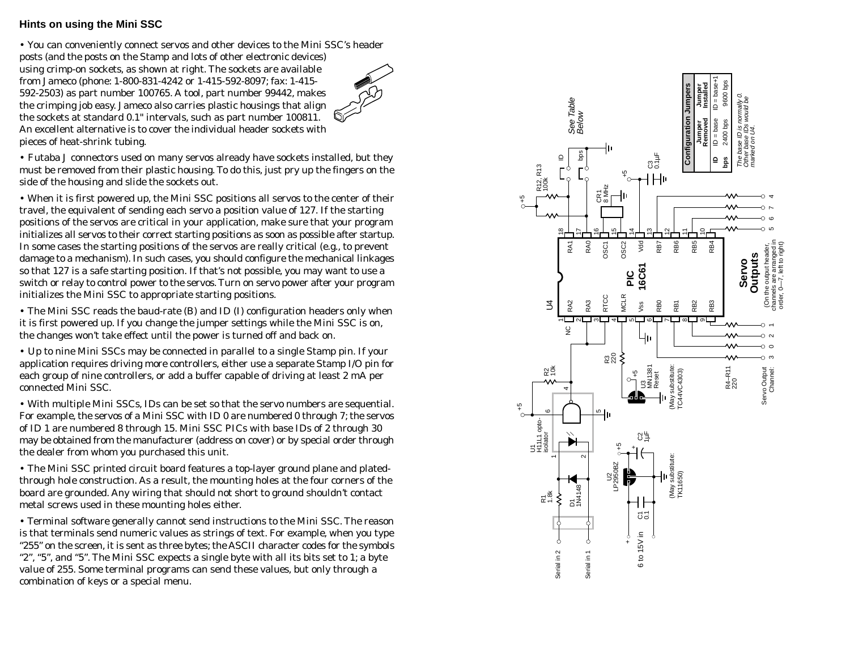#### **Hints on using the Mini SSC**

• You can conveniently connect servos and other devices to the Mini SSC's header posts (and the posts on the Stamp and lots of other electronic devices) using crimp-on sockets, as shown at right. The sockets are available from Jameco (phone: 1-800-831-4242 or 1-415-592-8097; fax: 1-415- 592-2503) as part number 100765. A tool, part number 99442, makes the crimping job easy. Jameco also carries plastic housings that align the sockets at standard 0.1" intervals, such as part number 100811. An excellent alternative is to cover the individual header sockets with pieces of heat-shrink tubing.

• Futaba J connectors used on many servos already have sockets installed, but they must be removed from their plastic housing. To do this, just pry up the fingers on the side of the housing and slide the sockets out.

• When it is first powered up, the Mini SSC positions all servos to the center of their travel, the equivalent of sending each servo a position value of 127. If the starting positions of the servos are critical in your application, make sure that your program initializes all servos to their correct starting positions as soon as possible after startup. In some cases the starting positions of the servos are really critical (e.g., to prevent damage to a mechanism). In such cases, you should configure the mechanical linkages so that 127 is a safe starting position. If that's not possible, you may want to use a switch or relay to control power to the servos. Turn on servo power after your program initializes the Mini SSC to appropriate starting positions.

• The Mini SSC reads the baud-rate (B) and ID (I) configuration headers only when it is first powered up. If you change the jumper settings while the Mini SSC is on, the changes won't take effect until the power is turned off and back on.

• Up to nine Mini SSCs may be connected in parallel to a single Stamp pin. If your application requires driving more controllers, either use a separate Stamp I/O pin for each group of nine controllers, or add a buffer capable of driving at least 2 mA per connected Mini SSC.

• With multiple Mini SSCs, IDs can be set so that the servo numbers are sequential. For example, the servos of a Mini SSC with ID 0 are numbered 0 through 7; the servos of ID 1 are numbered 8 through 15. Mini SSC PICs with base IDs of 2 through 30 may be obtained from the manufacturer (address on cover) or by special order through the dealer from whom you purchased this unit.

• The Mini SSC printed circuit board features a top-layer ground plane and platedthrough hole construction. As a result, the mounting holes at the four corners of the board are grounded. Any wiring that should not short to ground shouldn't contact metal screws used in these mounting holes either.

• Terminal software generally cannot send instructions to the Mini SSC. The reason is that terminals send numeric values as strings of text. For example, when you type "255" on the screen, it is sent as three bytes; the ASCII character codes for the symbols "2", "5", and "5". The Mini SSC expects a single byte with all its bits set to 1; a byte value of 255. Some terminal programs can send these values, but only through a combination of keys or a special menu.

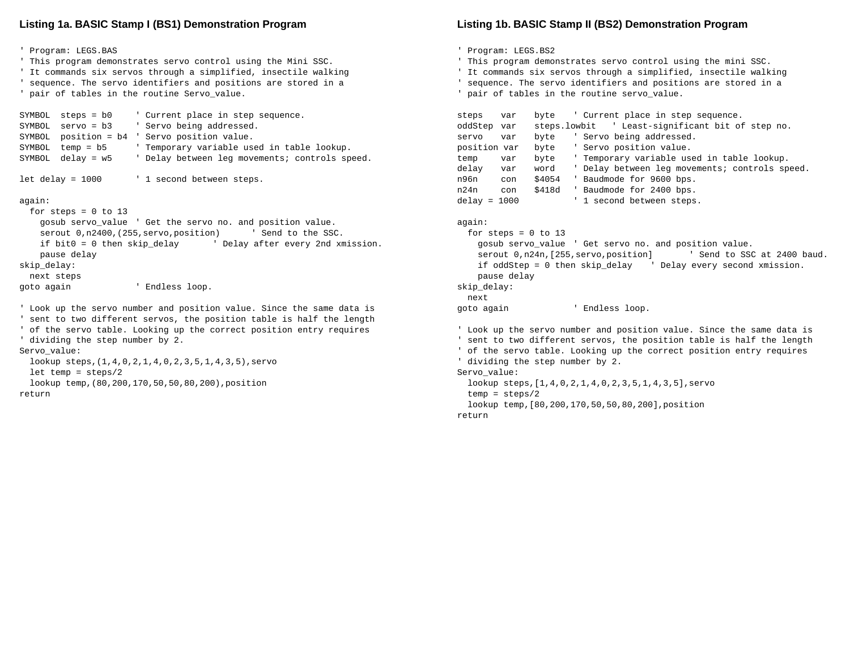#### **Listing 1a. BASIC Stamp I (BS1) Demonstration Program**

```
' Program: LEGS.BAS
' This program demonstrates servo control using the Mini SSC.
' It commands six servos through a simplified, insectile walking
' sequence. The servo identifiers and positions are stored in a
' pair of tables in the routine Servo_value.
SYMBOL steps = b0 ' Current place in step sequence.
SYMBOL servo = b3 ' Servo being addressed.
SYMBOL position = b4 ' Servo position value.
SYMBOL temp = b5 ' Temporary variable used in table lookup.
SYMBOL delay = w5 ' Delay between leg movements; controls speed.
let delay = 1000 \qquad ' 1 second between steps.
again:
 for steps = 0 to 13
    gosub servo_value ' Get the servo no. and position value.
   serout 0, n2400, (255, servo, position) ' Send to the SSC.
    if bit0 = 0 then skip_delay ' Delay after every 2nd xmission.
    pause delay
skip_delay:
  next steps
goto again ' Endless loop.
' Look up the servo number and position value. Since the same data is
' sent to two different servos, the position table is half the length
' of the servo table. Looking up the correct position entry requires
' dividing the step number by 2.
Servo_value:
  lookup steps,(1,4,0,2,1,4,0,2,3,5,1,4,3,5),servo
  let temp = steps/2
  lookup temp,(80,200,170,50,50,80,200),position
return
```
#### **Listing 1b. BASIC Stamp II (BS2) Demonstration Program**

' Program: LEGS.BS2

' This program demonstrates servo control using the mini SSC.

' It commands six servos through a simplified, insectile walking

' sequence. The servo identifiers and positions are stored in a

```
' pair of tables in the routine servo_value.
```

```
steps var byte ' Current place in step sequence.
oddStep var steps.lowbit ' Least-significant bit of step no.
servo var byte ' Servo being addressed.
position var byte ' Servo position value.
temp var byte ' Temporary variable used in table lookup.
delay var word ' Delay between leg movements; controls speed.
n96n con $4054 ' Baudmode for 9600 bps.
n24n con $418d ' Baudmode for 2400 bps.
delay = 1000 \qquad ' 1 second between steps.
```
again:

```
for steps = 0 to 13
    gosub servo_value ' Get servo no. and position value.
   serout 0, n24n, [255, servo, position] 'Send to SSC at 2400 baud.
   if oddStep = 0 then skip delay ' Delay every second xmission.
    pause delay
skip_delay:
   next
goto again ' Endless loop.
```

```
' Look up the servo number and position value. Since the same data is
' sent to two different servos, the position table is half the length
' of the servo table. Looking up the correct position entry requires
' dividing the step number by 2.
Servo_value:
  lookup steps, [1, 4, 0, 2, 1, 4, 0, 2, 3, 5, 1, 4, 3, 5], servo
   temp = steps/2
   lookup temp,[80,200,170,50,50,80,200],position
```
return